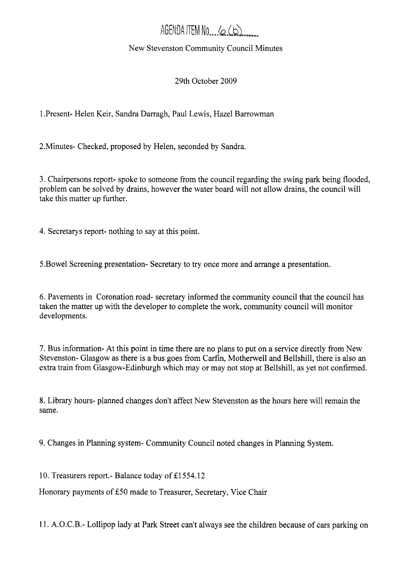## AGENDA ITEM NO. 6 (b)

## New Stevenston Community Council Minutes

29th October 2009

1 .Present- Helen Keir, Sandra Darragh, Paul Lewis, Hazel Barrowman

2.Minutes- Checked, proposed by Helen, seconded by Sandra.

3. Chairpersons report- spoke to someone from the council regarding the swing park being flooded, problem can be solved by drains, however the water board will not allow drains, the council will take this matter up further.

4. Secretarys report- nothing to say at this point.

5.Bowel Screening presentation- Secretary to try once more and arrange a presentation.

6. Pavements in Coronation road- secretary informed the community council that the council has taken the matter up with the developer to complete the work, community council will monitor developments.

**7.** Bus information- At this point in time there are no plans to put on a service directly from New Stevenston- Glasgow as there is a bus goes from Carfin, Motherwell and Bellshill, there is also an extra train from Glasgow-Edinburgh which may or may not stop at Bellshill, as yet not confirmed.

**8.** Library hours- planned changes don't affect New Stevenston as the hours here will remain the same.

9. Changes in Planning system- Community Council noted changes in Planning System.

10. Treasurers report.- Balance today of E1554.12

Honorary payments of *&50* made to Treasurer, Secretary, Vice Chair

1 1. A.0.C.B.- Lollipop lady at Park Street can't always see the children because of cars parking on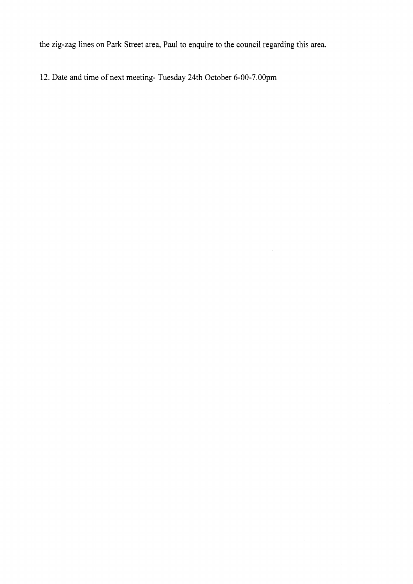the zig-zag lines on Park Street area, Paul to enquire to the council regarding this area.

12. Date and time of next meeting- Tuesday 24th October 6-00-7.00pm